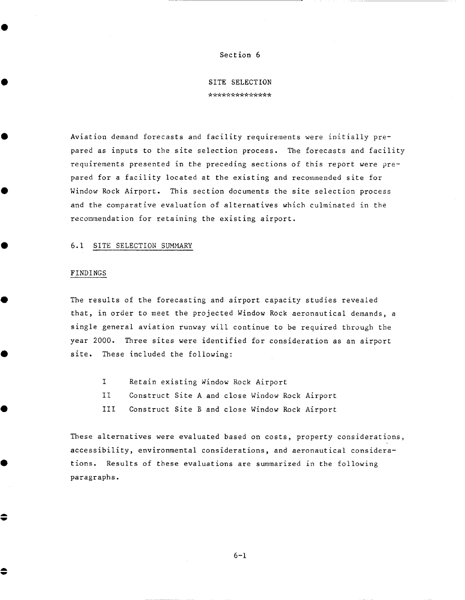## Section 6

SITE SELECTION \*\*\*\*\*\*\*\*\*\*\*\*\*

Aviation demand forecasts and facility requirements were initially prepared as inputs to the site selection process. The forecasts and facility requirements presented in the preceding sections of this report were prepared for a facility located at the existing and recommended site for Window Rock Airport. This section documents the site selection process and the comparative evaluation of alternatives which culminated in the recommendation for retaining the existing airport.

## 6.1 SITE SELECTION SUMMARY

## FINDINGS

€

♦

The results of the forecasting and airport capacity studies revealed that, in order to meet the projected Window Rock aeronautical demands, a single general aviation runway will continue to be required through the year 2000. Three sites were identified for consideration as an airport site. These included the following:

- **I**  Retain existing Window Rock Airport
- II Construct Site A and close Window Rock Airport
- III Construct Site B and close Window Rock Airport

These alternatives were evaluated based on costs, property considerations, accessibility, environmental considerations, and aeronautical considerations. Results of these evaluations are summarized in the following paragraphs.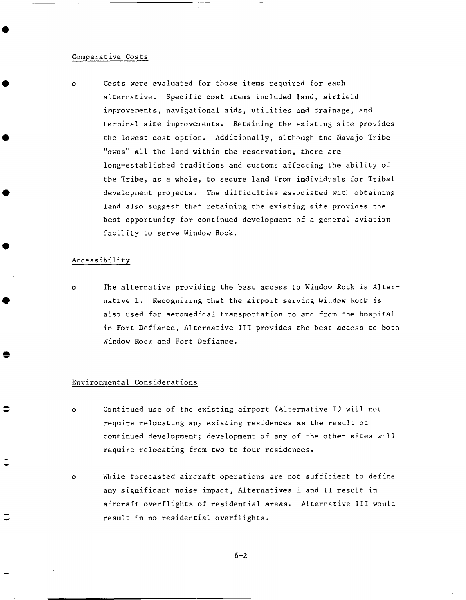## Comparative costs

<sup>O</sup>Costs were evaluated for those items required for each alternative. Specific cost items included land, airfield improvements, navigational aids, utilities and drainage, and terminal site improvements. Retaining the existing site provides the lowest cost option. Additionally, although the Navajo Tribe "owns" all the land within the reservation, there are long-established traditions and customs affecting the ability of the Tribe, as a whole, to secure land from individuals for Tribal development projects. The difficulties associated with obtaining land also suggest that retaining the existing site provides the best opportunity for continued development of a general aviation facility to serve Window Rock.

## Accessibility

The alternative providing the best access to Window Rock is Alter- $\Omega$ native I. Recognizing that the airport serving Window Rock is also used for aeromedical transportation to and from the hospital in Fort Defiance, Alternative III provides the best access to both Window Rock and Fort Defiance.

## Environmental Considerations

- Continued use of the existing airport (Alternative I) will not  $\Omega$ require relocating any existing residences as the result of continued development; development of any of the other sites will require relocating from two to four residences.
- While forecasted aircraft operations are not sufficient to define  $\alpha$ any significant noise impact, Alternatives I and II result in aircraft overflights of residential areas. Alternative III would result in no residential overflights.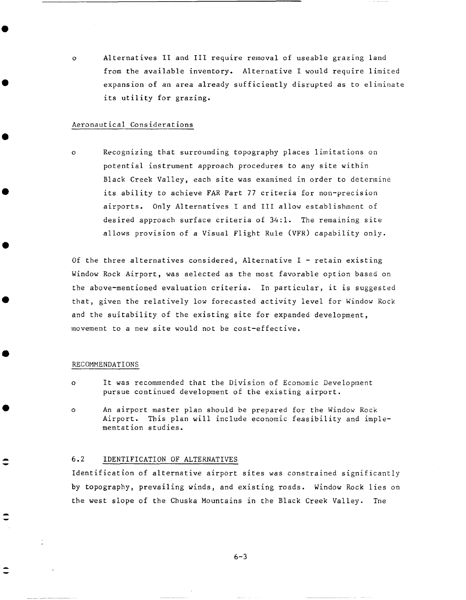<sup>O</sup>Alternatives II and III require removal of useable grazing land from the available inventory. Alternative I would require limited expansion of an area already sufficiently disrupted as to eliminate its utility for grazing.

## Aeronautical Considerations

Recognizing that surrounding topography places limitations on  $\Omega$ potential instrument approach procedures to any site within Black Creek Valley, each site was examined in order to determine its ability to achieve FAR Part 77 criteria for non-precision airports. Only Alternatives I and III allow establishment of desired approach surface criteria of 34:1. The remaining site allows provision of a Visual Flight Rule (VFR) capability only.

Of the three alternatives considered, Alternative  $I -$  retain existing Window Rock Airport, was selected as the most favorable option based on the above-mentioned evaluation criteria. In particular, it is suggested that, given the relatively low forecasted activity level for Window Rock and the suitability of the existing site for expanded development, movement to a new site would not be cost-effective.

## RECOMMENDATIONS

- It was recommended that the Division of Economic Development  $\Omega$ pursue continued development of the existing airport.
- An airport master plan should be prepared for the Window Rock Ō. Airport. This plan will include economic feasibility and implementation studies.

## 6.2 IDENTIFICATION OF ALTERNATIVES

Identification of alternative airport sites was constrained significantly by topography, prevailing winds, and existing roads. Window Rock lies on the west slope of the Chuska Mountains in the Black Creek Valley. The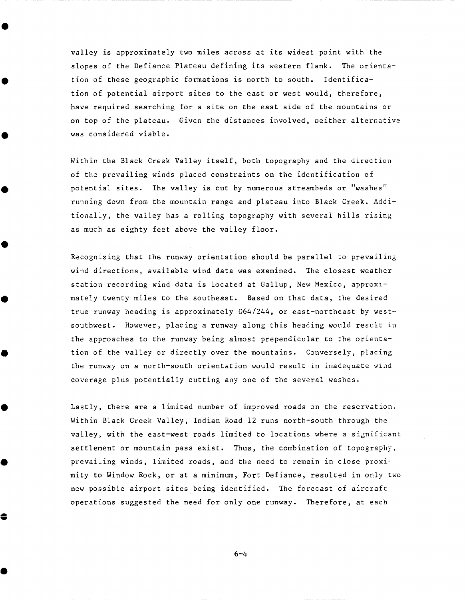valley is approximately two miles across at its widest point with the slopes of the Defiance Plateau defining its western flank. The orientation of these geographic formations is north to south. Identification of potential airport sites to the east or west would, therefore, have required searching for a site on the east side of the mountains or on top of the plateau. Given the distances involved, neither alternative was considered viable.

Within the Black Creek Valley itself, both topography and the direction of the prevailing winds placed constraints on the identification of potential sites. The valley is cut by numerous streambeds or "washes" running down from the mountain range and plateau into Black Creek. Additionally, the valley has a rolling topography with several hills rising as much as eighty feet above the valley floor.

Recognizing that the runway orientation should be parallel to prevailing wind directions, available wind data was examined. The closest weather station recording wind data is located at Gallup, New Mexico, approxlmately twenty miles to the southeast. Based on that data, the desired true runway heading is approximately 064/244, or east-northeast by westsouthwest. However, placing a runway along this heading would result in the approaches to the runway being almost prependicular to the orientation of the valley or directly over the mountains. Conversely, placing the runway on a north-south orientation would result in inadequate wind coverage plus potentially cutting any one of the several washes.

Lastly, there are a limited number of improved roads on the reservation. Within Black Creek Valley, Indian Road 12 runs north-south through the valley, with the east-west roads limited to locations where a significant settlement or mountain pass exist. Thus, the combination of topography, prevailing winds, limited roads, and the need to remain in close proximity to Window Rock, or at a minimum, Fort Defiance, resulted in only two new possible airport sites being identified. The forecast of aircraft operations suggested the need for only one runway. Therefore, at each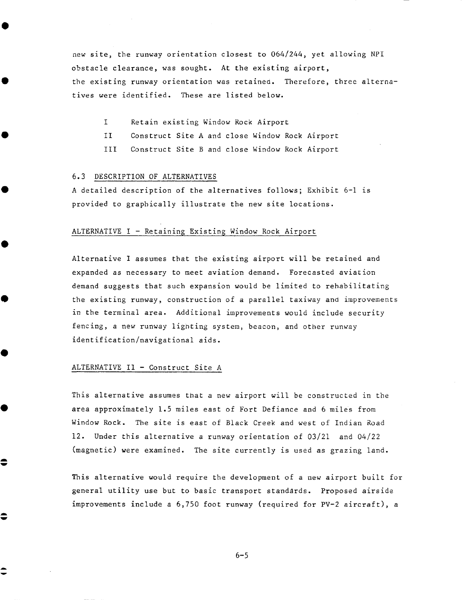new site, the runway orientation closest to 064/244, yet allowing NPI obstacle clearance, was sought. At the existing airport, the existing runway orientation was retained. Therefore, three alternatives were identified. These are listed below.

- **I**  Retain existing Window Rock Airport
- II Construct Site A and close Window Rock Airport
- III Construct Site B and close Window Rock Airport

## 6.3 DESCRIPTION OF ALTERNATIVES

A detailed description of the alternatives follows; Exhibit 6-1 is provided to graphically illustrate the new site locations.

## ALTERNATIVE I - Retaining Existing Window Rock Airport

Alternative I assumes that the existing airport will be retained and expanded as necessary to meet aviation demand. Forecasted aviation demand suggests that such expansion would be limited to rehabilitating the existing runway, construction of a parallel taxiway and improvements in the terminal area. Additional improvements would include security fencing, a new runway lighting system, beacon, and other runway identification/navigational aids.

## ALTERNATIVE II - Construct Site A

≑

\$

This alternative assumes that a new airport will be constructed in the area approximately 1.5 miles east of Fort Defiance and 6 miles from Window Rock. The site is east of Black Creek and west of Indian Road 12. Under this alternative a runway orientation of 03/21 and 04/22 (magnetic) were examined. The site currently is used as grazing land.

This alternative would require the development of a new airport built for general utility use but to basic transport standards. Proposed airside improvements include a 6,750 foot runway (required for PV-2 aircraft), a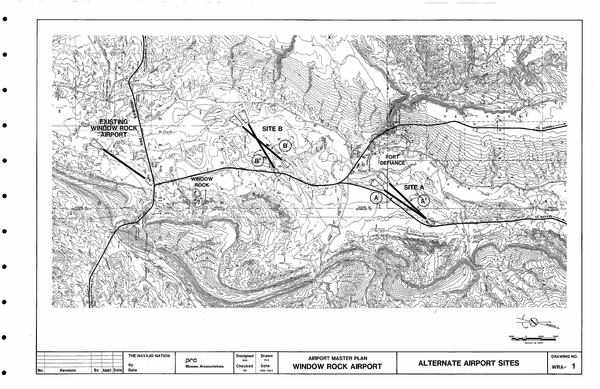

 $\bullet$ 

 $\bullet$ 

 $\bullet$ 

 $\bullet$ 

 $\epsilon$ 

 $\bullet$ 

 $\bullet$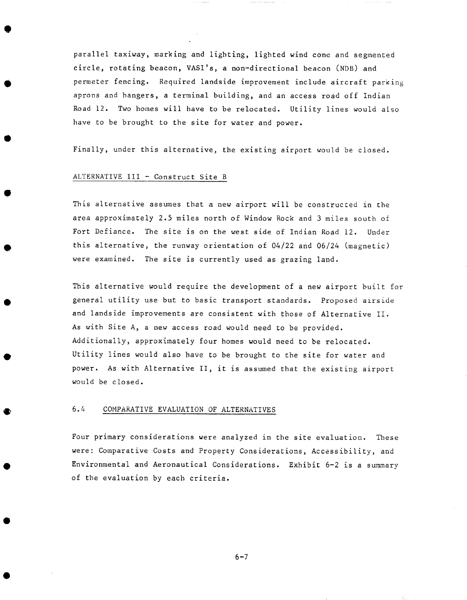parallel taxiway, marking and lighting, lighted wind cone and segmented circle, rotating beacon, VASI's, a non-directional beacon (NDB) and permeter fencing. Required landside improvement include aircraft parking aprons and hangers, a terminal building, and an access road off Indian Road 12. Two homes will have to be relocated. Utility lines would also have to be brought to the site for water and power.

Finally, under this alternative, the existing airport would be closed.

## ALTERNATIVE III - Construct Site B

This alternative assumes that a new airport will be constructed in the area approximately 2.5 miles north of Window Rock and 3 miles south oi Fort Defiance. The site is on the west side of Indian Road 12. Under this alternative, the runway orientation of 04/22 and 06/24 (magnetic) were examined. The site is currently used as grazing land.

This alternative would require the development of a new airport built for general utility use but to basic transport standards. Proposed airside and landside improvements are consistent with those of Alternative II. As with Site A, a new access road would need to be provided. Additionally, approximately four homes would need to be relocated. Utility lines would also have to be brought to the site for water and power. As with Alternative II, it is assumed that the existing airport would be closed.

## 6.4 COMPARATIVE EVALUATION OF ALTERNATIVES

Four primary considerations were analyzed in the site evaluation. These were: Comparative Costs and Property Considerations, Accessibility, and Environmental and Aeronautical Considerations. Exhibit 6-2 is a summary of the evaluation by each criteria.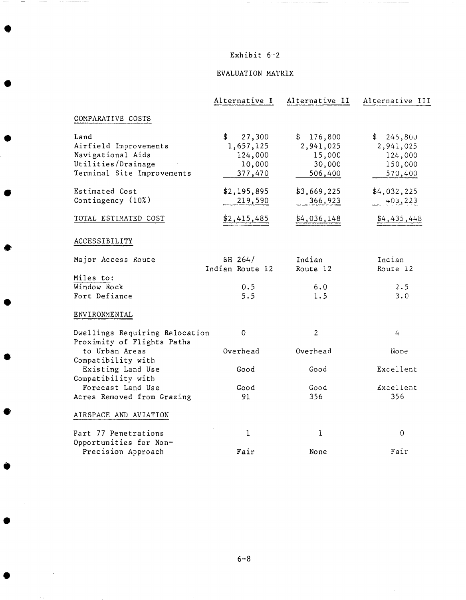## Exhibit 6-2

 $\mathcal{L}(\mathcal{L})$  . The component constraint contains the set of the mass

 $\overline{\phantom{a}}$ 

## EVALUATION MATRIX

|                                                              | Alternative I          | Alternative II         | Alternative III        |
|--------------------------------------------------------------|------------------------|------------------------|------------------------|
| COMPARATIVE COSTS                                            |                        |                        |                        |
| Land                                                         | \$<br>27,300           | 176,800<br>\$          | 246,800<br>\$          |
| Airfield Improvements                                        | 1,657,125              | 2,941,025              | 2,941,025              |
| Navigational Aids                                            | 124,000                | 15,000                 | 124,000                |
| Utilities/Drainage                                           | 10,000                 | 30,000                 | 150,000                |
| Terminal Site Improvements                                   | 377,470                | 506,400                | 570,400                |
| Estimated Cost                                               | \$2,195,895            | \$3,669,225            | \$4,032,225            |
| Contingency (10%)                                            | 219,590                | 366,923                | 403, 223               |
|                                                              |                        |                        |                        |
| TOTAL ESTIMATED COST                                         | $\frac{$2,415,485}{2}$ | $\frac{$4,036,148}{ }$ | $\frac{64,435,448}{1}$ |
| ACCESSIBILITY                                                |                        |                        |                        |
| Major Access Route                                           | SH $264/$              | Indian                 | Indian                 |
|                                                              | Indian Route 12        | Route 12               | Route 12               |
| Miles to:                                                    |                        |                        |                        |
| Window Rock                                                  | 0.5                    | 6.0                    | 2.5                    |
| Fort Defiance                                                | 5.5                    | 1.5                    | 3.0                    |
| ENVIRONMENTAL                                                |                        |                        |                        |
| Dwellings Requiring Relocation<br>Proximity of Flights Paths | 0                      | $\overline{2}$         | $\overline{4}$         |
| to Urban Areas                                               | Overhead               | Overhead               | None                   |
| Compatibility with                                           |                        |                        |                        |
| Existing Land Use                                            | Good                   | Good                   | Excellent              |
| Compatibility with                                           |                        |                        |                        |
| Forecast Land Use                                            | Good                   | Good                   | Excellent              |
| Acres Removed from Grazing                                   | 91                     | 356                    | 356                    |
| AIRSPACE AND AVIATION                                        |                        |                        |                        |
| Part 77 Penetrations                                         | 1                      | 1                      | 0                      |
| Opportunities for Non-                                       |                        |                        |                        |
| Precision Approach                                           | Fair                   | None                   | Fair                   |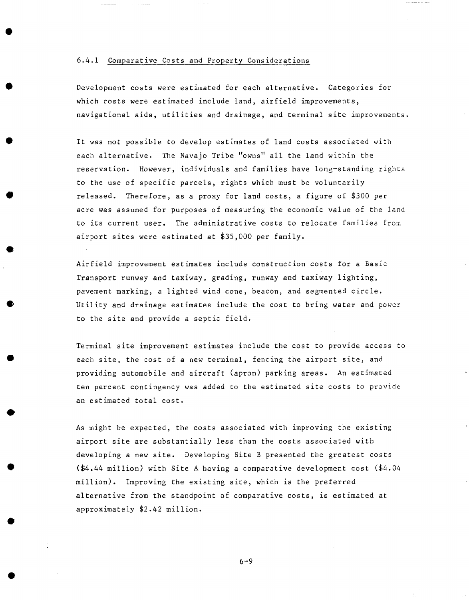## 6.4.1 Comparatiye Costs and Property Considerations

Development costs were estimated for each alternative. Categories for which costs were estimated include land, airfield improvements, navigational aids, utilities and drainage, and terminal site improvements.

It was not possible to develop estimates of land costs associated with each alternative. The Navajo Tribe "owns" all the land within the reservation. However, individuals and families have long-standing rights to the use of specific parcels, rights which must be voluntarily released. Therefore, as a proxy for land costs, a figure of  $$300~per$ acre was assumed for purposes of measuring the economic value of the land to its current user. The administrative costs to relocate families from airport sites were estimated at  $$35,000$  per family.

Airfield improvement estimates include construction costs for a Basic Transport runway and taxiway, grading, runway and taxiway lighting, pavement marking, a lighted wind cone, beacon, and segmented circle. Utility and drainage estimates include the cost to bring water and power to the site and provide a septic field.

Terminal site improvement estimates include the cost to provide access to each site, the cost of a new terminal, fencing the airport site, and providing automobile and aircraft (apron) parking areas. An estimated ten percent contingency was added to the estimated site costs to provide an estimated total cost.

As might be expected, the costs associated with improving the existing airport site are substantially less than the costs associated with developing a new site. Developing Site B presented the greatest costs  $(*4.44$  million) with Site A having a comparative development cost  $(*4.04$ million). Improving the existing site, which is the preferred alternative from the standpoint of comparative costs, is estimated at approximately \$2.42 million.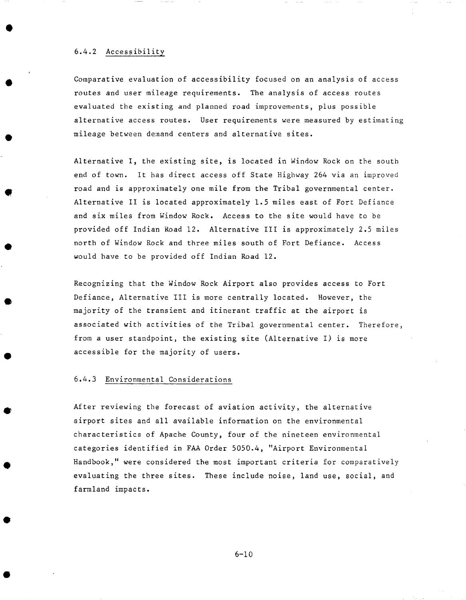## 6.4.2 Accessibility

Comparative evaluation of accessibility focused on an analysis of access routes and user mileage requirements. The analysis of access routes evaluated the existing and planned road improvements, plus possible alternative access routes. User requirements were measured by estimating mileage between demand centers and alternative sites.

Alternative I, the existing site, is located in Window Rock on the south end of town. It has direct access off State Highway 264 via an improved road and is approximately one mile from the Tribal governmental center. Alternative II is located approximately 1.5 miles east of Fort Defiance and six miles from Window Rock. Access to tbe site would have to be provided off Indian Road 12. Alternative III is approximately 2.5 miles north of Window Rock and three miles south of Fort Defiance. Access would have to be provided off Indian Road 12.

Recognizing that the Window Rock Airport also provides access to Fort Defiance, Alternative III is more centrally located. However, the majority of the transient and itinerant traffic at the airport is associated with activities of the Tribal governmental center. Therefore, from a user standpoint, the existing site (Alternative I) is more accessible for the majority of users.

## 6.4.3 Environmental Considerations

After reviewing the forecast of aviation activity, the alternative airport sites and all available information on the environmental characteristics of Apache County, four of the nineteen environmental categories identified in FAA Order 5050.4, "Airport Environmental Handbook," were considered the most important criteria for comparatively evaluating the three sites. These include noise, land use, social, and farmland impacts.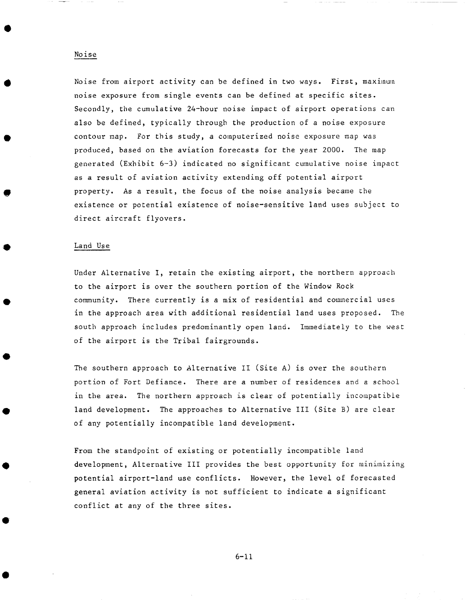## Noise from airport activity can be defined in two ways. First, maximum noise exposure from single events can be defined at specific sites. Secondly, the cumulative 24-hour noise impact of airport operations can also be defined, typically through the production of a noise exposure contour map. For this study, a computerized noise exposure map was produced, based on the aviation forecasts for the year 2000. The map generated (Exhibit 6-3) indicated no significant cumulative noise impact as a result of aviation activity extending off potential airport property. As a result, the focus of the noise analysis became the existence or potential existence of noise-sensitive land uses subject to direct aircraft flyovers.

#### Land Use

Under Alternative I, retain the existing airport, the northern approach to the airport is over the southern portion of the Window Rock community. There currently is a mix of residential and commercial uses in the approach area with additional residential land uses proposed. The south approach includes predominantly open land. Immediately to the west of the airport is the Tribal fairgrounds.

The southern approach to Alternative II (Site A) is over the southern portion of Fort Defiance. There are a number of residences and a school in the area. The northern approach is clear of potentially incompatible land development. The approaches to Alternative III (Site B) are clear of any potentially incompatible land development.

From the standpoint of existing or potentially incompatible land development, Alternative III provides the best opportunity for minimizing potential airport-land use conflicts. However, the level of forecasted general aviation activity is not sufficient to indicate a significant conflict at any of the three sites.

## Noise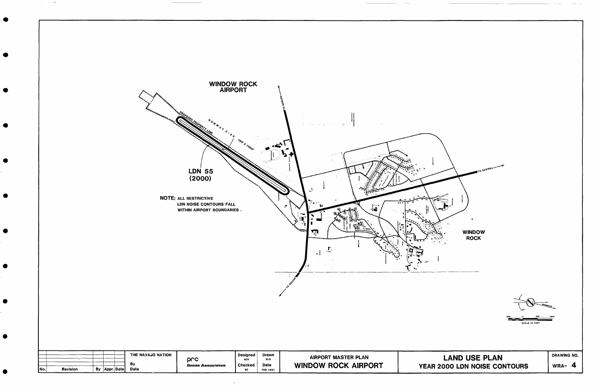

 $\omega_{\rm{eff}}=0.15\ \mathrm{m}$ 



# **YEAR 2000 LDN NOISE CONTOURS**

DRAWING NO. **WRA- 4**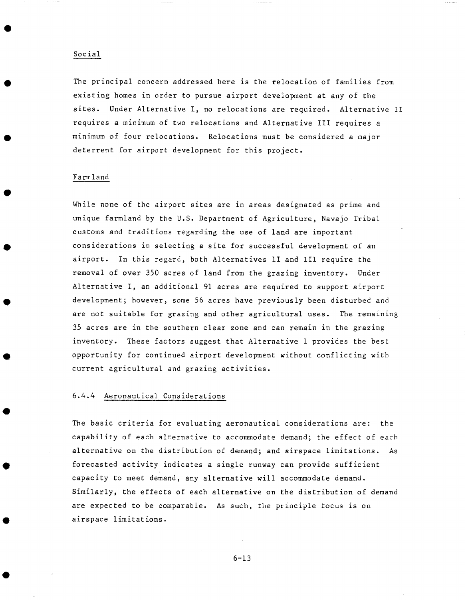### Social

The principal concern addressed here is the relocation of families from existing homes in order to pursue airport development at any of the sites. Under Alternative I, no relocations are required. Alternative II requires a minimum of two relocations and Alternative IIl requires a minimum of four relocations. Relocations must be considered a major deterrent for airport development for this project.

## Farmland

While none of the airport sites are in areas designated as prime and unique farmland by the U.S. Department of Agriculture, Navajo Tribal customs and traditions regarding the use of land are important considerations in selecting a site for successful development of an airport. In this regard, both Alternatives II and III require the removal of over 350 acres of land from the grazing inventory. Under Alternative I, an additional 91 acres are required to support airport development; however, some 56 acres have previously been disturbed and are not suitable for grazing and other agricultural uses. The remaining 35 acres are in the southern clear zone and can remain in the grazing inventory. These factors suggest that Alternative I provides the best opportunity for continued airport development without conflicting with current agricultural and grazing activities.

## 6.4.4 Aeronautical Considerations

The basic criteria for evaluating aeronautical considerations are: the capability of each alternative to accommodate demand; the effect of each alternative on the distribution of demand; and airspace limitations. As forecasted activity indicates a single runway can provide sufficient capacity to meet demand, any alternative will accommodate demand. Similarly, the effects of each alternative on the distribution of demand are expected to be comparable. As such, the principle focus is on airspace limitations.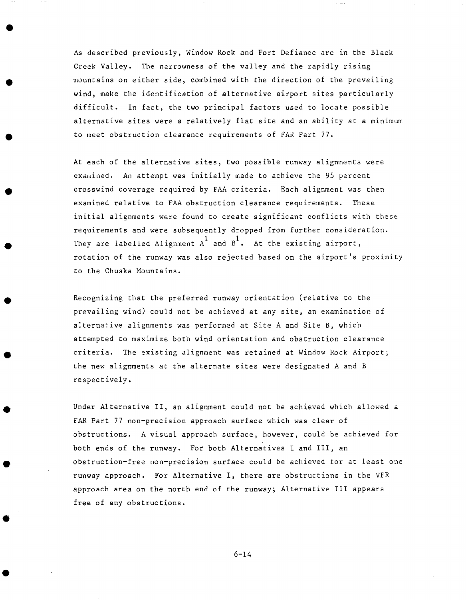As described previously, Window Rock and Fort Defiance are in the Black Creek Valley. The narrowness of the valley and the rapidly rising mountains on either side, combined with the direction of the prevailing wind, make the identification of alternative airport sites particularly difficult. In fact, the two principal factors used to locate possible alternative sites were a relatively flat site and an ability at a minimum to meet obstruction clearance requirements of FAR Part 77.

At each of the alternative sites, two possible runway alignments were examined. An attempt was initially made to achieve the 95 percent crosswind coverage required by FAA criteria. Each alignment was then examined relative to FAA obstruction clearance requirements. These initial alignments were found to create significant conflicts with these requirements and were subsequently dropped from further consideration. They are labelled Alignment  $A^1$  and  $B^1$ . At the existing airport, rotation of the runway was also rejected based on the airport's proximity to the Chuska Mountains.

Recognizing that the preferred runway orientation (relative to the prevailing wind) could not be achieved at any site, an examination of alternative alignments was performed at Site A and Site B, which attempted to maximize both wind orientation and obstruction clearance criteria. The existing alignment was retained at Window Rock Airport; the new alignments at the alternate sites were designated A and B respectively.

Under Alternative II, an alignment could not be achieved which allowed a FAR Part 77 non-precision approach surface which was clear of obstructions. A visual approach surface, however, could be achieved for both ends of the runway. For both Alternatives I and III, an obstruction-free non-precision surface could be achieved for at least one runway approach. For Alternative I, there are obstructions in the VFR approach area on the north end of the runway; Alternative III appears free of any obstructions.